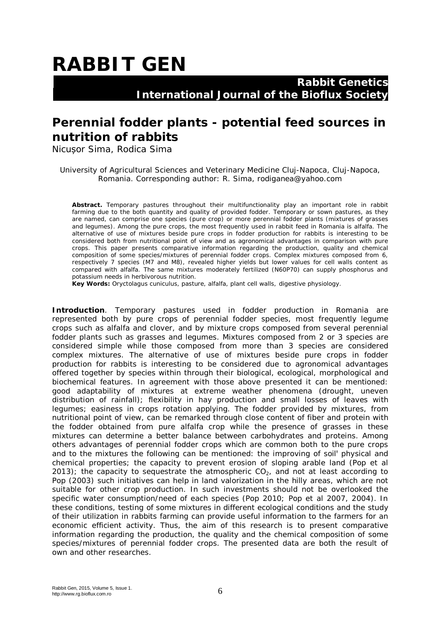## **RABBIT GEN**

 **Rabbit Genetics International Journal of the Bioflux Society**

## **Perennial fodder plants - potential feed sources in nutrition of rabbits**

Nicușor Sima, Rodica Sima

University of Agricultural Sciences and Veterinary Medicine Cluj-Napoca, Cluj-Napoca, Romania. Corresponding author: R. Sima, rodiganea@yahoo.com

**Abstract.** Temporary pastures throughout their multifunctionality play an important role in rabbit farming due to the both quantity and quality of provided fodder. Temporary or sown pastures, as they are named, can comprise one species (pure crop) or more perennial fodder plants (mixtures of grasses and legumes). Among the pure crops, the most frequently used in rabbit feed in Romania is alfalfa. The alternative of use of mixtures beside pure crops in fodder production for rabbits is interesting to be considered both from nutritional point of view and as agronomical advantages in comparison with pure crops. This paper presents comparative information regarding the production, quality and chemical composition of some species/mixtures of perennial fodder crops. Complex mixtures composed from 6, respectively 7 species (M7 and M8), revealed higher yields but lower values for cell walls content as compared with alfalfa. The same mixtures moderately fertilized (N60P70) can supply phosphorus and potassium needs in herbivorous nutrition.

**Key Words:** *Oryctolagus cuniculus*, pasture, alfalfa, plant cell walls, digestive physiology.

**Introduction**. Temporary pastures used in fodder production in Romania are represented both by pure crops of perennial fodder species, most frequently legume crops such as alfalfa and clover, and by mixture crops composed from several perennial fodder plants such as grasses and legumes. Mixtures composed from 2 or 3 species are considered simple while those composed from more than 3 species are considered complex mixtures. The alternative of use of mixtures beside pure crops in fodder production for rabbits is interesting to be considered due to agronomical advantages offered together by species within through their biological, ecological, morphological and biochemical features. In agreement with those above presented it can be mentioned: good adaptability of mixtures at extreme weather phenomena (drought, uneven distribution of rainfall); flexibility in hay production and small losses of leaves with legumes; easiness in crops rotation applying. The fodder provided by mixtures, from nutritional point of view, can be remarked through close content of fiber and protein with the fodder obtained from pure alfalfa crop while the presence of grasses in these mixtures can determine a better balance between carbohydrates and proteins. Among others advantages of perennial fodder crops which are common both to the pure crops and to the mixtures the following can be mentioned: the improving of soil' physical and chemical properties; the capacity to prevent erosion of sloping arable land (Pop et al 2013); the capacity to sequestrate the atmospheric  $CO<sub>2</sub>$ , and not at least according to Pop (2003) such initiatives can help in land valorization in the hilly areas, which are not suitable for other crop production. In such investments should not be overlooked the specific water consumption/need of each species (Pop 2010; Pop et al 2007, 2004). In these conditions, testing of some mixtures in different ecological conditions and the study of their utilization in rabbits farming can provide useful information to the farmers for an economic efficient activity. Thus, the aim of this research is to present comparative information regarding the production, the quality and the chemical composition of some species/mixtures of perennial fodder crops. The presented data are both the result of own and other researches.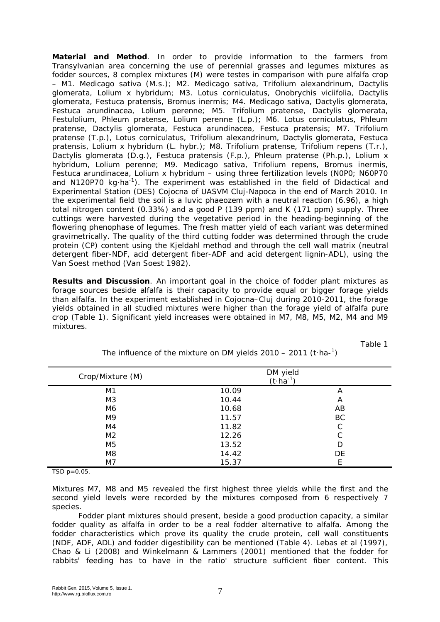**Material and Method**. In order to provide information to the farmers from Transylvanian area concerning the use of perennial grasses and legumes mixtures as fodder sources, 8 complex mixtures (M) were testes in comparison with pure alfalfa crop – M1. *Medicago sativa* (*M.s.*); M2. *Medicago sativa*, *Trifolium alexandrinum*, *Dactylis glomerata*, *Lolium x hybridum*; M3. *Lotus corniculatus*, *Onobrychis viciifolia*, *Dactylis glomerata*, *Festuca pratensis*, *Bromus inermis*; M4. *Medicago sativa*, *Dactylis glomerata*, *Festuca arundinacea*, *Lolium perenne*; M5. *Trifolium pratense*, *Dactylis glomerata*, *Festulolium*, *Phleum pratense*, *Lolium perenne (L.p.)*; M6. *Lotus corniculatus*, *Phleum pratens*e, *Dactylis glomerata*, *Festuca arundinacea*, *Festuca pratensis*; M7. *Trifolium pratense (T.p.)*, *Lotus corniculatus*, *Trifolium alexandrinum*, *Dactylis glomerata*, *Festuca pratensis*, *Lolium x hybridum (L. hybr.)*; M8. *Trifolium pratense*, *Trifolium repens (T.r.)*, *Dactylis glomerata (D.g.)*, *Festuca pratensis (F.p.)*, *Phleum pratense (Ph.p.)*, *Lolium x hybridum*, *Lolium perenne*; M9. *Medicago sativa*, *Trifolium repens*, *Bromus inermis*, *Festuca arundinacea*, *Lolium x hybridum* – using three fertilization levels (N0P0; N60P70 and N120P70 kg⋅ha<sup>-1</sup>). The experiment was established in the field of Didactical and Experimental Station (DES) Cojocna of UASVM Cluj-Napoca in the end of March 2010. In the experimental field the soil is a luvic phaeozem with a neutral reaction (6.96), a high total nitrogen content (0.33%) and a good P (139 ppm) and K (171 ppm) supply. Three cuttings were harvested during the vegetative period in the heading-beginning of the flowering phenophase of legumes. The fresh matter yield of each variant was determined gravimetrically. The quality of the third cutting fodder was determined through the crude protein (CP) content using the Kjeldahl method and through the cell wall matrix (neutral detergent fiber-NDF, acid detergent fiber-ADF and acid detergent lignin-ADL), using the Van Soest method (Van Soest 1982).

**Results and Discussion**. An important goal in the choice of fodder plant mixtures as forage sources beside alfalfa is their capacity to provide equal or bigger forage yields than alfalfa. In the experiment established in Cojocna–Cluj during 2010-2011, the forage yields obtained in all studied mixtures were higher than the forage yield of alfalfa pure crop (Table 1). Significant yield increases were obtained in M7, M8, M5, M2, M4 and M9 mixtures.

Table 1

| Crop/Mixture (M) | DM yield<br>$(t \cdot ha^{-1})$ |    |  |
|------------------|---------------------------------|----|--|
| M1               | 10.09                           | A  |  |
| M <sub>3</sub>   | 10.44                           | A  |  |
| M6               | 10.68                           | AB |  |
| M <sub>9</sub>   | 11.57                           | BC |  |
| M4               | 11.82                           | C  |  |
| M <sub>2</sub>   | 12.26                           | C  |  |
| M <sub>5</sub>   | 13.52                           | D  |  |
| M8               | 14.42                           | DE |  |
| M7               | 15.37                           |    |  |

The influence of the mixture on DM yields  $2010 - 2011$  (t·ha-<sup>1</sup>)

TSD p=0.05.

Mixtures M7, M8 and M5 revealed the first highest three yields while the first and the second yield levels were recorded by the mixtures composed from 6 respectively 7 species.

Fodder plant mixtures should present, beside a good production capacity, a similar fodder quality as alfalfa in order to be a real fodder alternative to alfalfa. Among the fodder characteristics which prove its quality the crude protein, cell wall constituents (NDF, ADF, ADL) and fodder digestibility can be mentioned (Table 4). Lebas et al (1997), Chao & Li (2008) and Winkelmann & Lammers (2001) mentioned that the fodder for rabbits' feeding has to have in the ratio' structure sufficient fiber content. This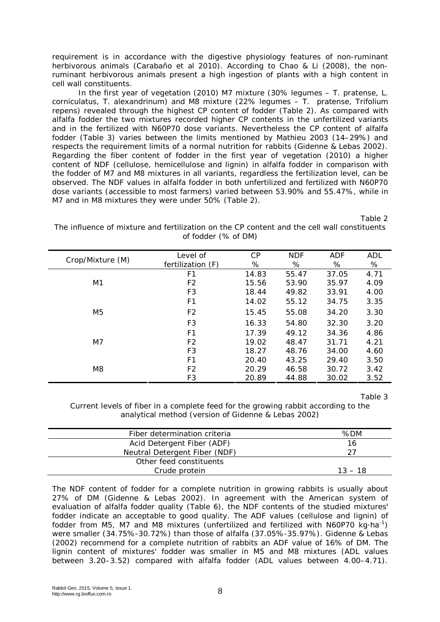requirement is in accordance with the digestive physiology features of non-ruminant herbivorous animals (Carabaño et al 2010). According to Chao & Li (2008), the nonruminant herbivorous animals present a high ingestion of plants with a high content in cell wall constituents.

In the first year of vegetation (2010) M7 mixture (30% legumes – *T. pratense*, *L. corniculatus*, *T. alexandrinum*) and M8 mixture (22% legumes – *T. pratense*, *Trifolium repens*) revealed through the highest CP content of fodder (Table 2). As compared with alfalfa fodder the two mixtures recorded higher CP contents in the unfertilized variants and in the fertilized with N60P70 dose variants. Nevertheless the CP content of alfalfa fodder (Table 3) varies between the limits mentioned by Mathieu 2003 (14–29%) and respects the requirement limits of a normal nutrition for rabbits (Gidenne & Lebas 2002). Regarding the fiber content of fodder in the first year of vegetation (2010) a higher content of NDF (cellulose, hemicellulose and lignin) in alfalfa fodder in comparison with the fodder of M7 and M8 mixtures in all variants, regardless the fertilization level, can be observed. The NDF values in alfalfa fodder in both unfertilized and fertilized with N60P70 dose variants (accessible to most farmers) varied between 53.90% and 55.47%, while in M7 and in M8 mixtures they were under 50% (Table 2).

Table 2

The influence of mixture and fertilization on the CP content and the cell wall constituents of fodder (% of DM)

| Crop/Mixture (M) | Level of<br>fertilization (F) | $\mathcal{C}P$<br>% | <b>NDF</b><br>% | ADF<br>% | ADL<br>% |
|------------------|-------------------------------|---------------------|-----------------|----------|----------|
|                  |                               |                     |                 |          |          |
|                  | F <sub>1</sub>                | 14.83               | 55.47           | 37.05    | 4.71     |
| M1               | F <sub>2</sub>                | 15.56               | 53.90           | 35.97    | 4.09     |
|                  | F <sub>3</sub>                | 18.44               | 49.82           | 33.91    | 4.00     |
|                  | F <sub>1</sub>                | 14.02               | 55.12           | 34.75    | 3.35     |
| M <sub>5</sub>   | F <sub>2</sub>                | 15.45               | 55.08           | 34.20    | 3.30     |
|                  | F <sub>3</sub>                | 16.33               | 54.80           | 32.30    | 3.20     |
|                  | F <sub>1</sub>                | 17.39               | 49.12           | 34.36    | 4.86     |
| M7               | F <sub>2</sub>                | 19.02               | 48.47           | 31.71    | 4.21     |
|                  | F <sub>3</sub>                | 18.27               | 48.76           | 34.00    | 4.60     |
|                  | F <sub>1</sub>                | 20.40               | 43.25           | 29.40    | 3.50     |
| M8               | F <sub>2</sub>                | 20.29               | 46.58           | 30.72    | 3.42     |
|                  | F3                            | 20.89               | 44.88           | 30.02    | 3.52     |

Table 3

Current levels of fiber in a complete feed for the growing rabbit according to the analytical method (version of Gidenne & Lebas 2002)

| Fiber determination criteria  | %DM       |
|-------------------------------|-----------|
| Acid Detergent Fiber (ADF)    | 16        |
| Neutral Detergent Fiber (NDF) | 27        |
| Other feed constituents       |           |
| Crude protein                 | $13 - 18$ |

The NDF content of fodder for a complete nutrition in growing rabbits is usually about 27% of DM (Gidenne & Lebas 2002). In agreement with the American system of evaluation of alfalfa fodder quality (Table 6), the NDF contents of the studied mixtures' fodder indicate an acceptable to good quality. The ADF values (cellulose and lignin) of fodder from M5, M7 and M8 mixtures (unfertilized and fertilized with N60P70 kg⋅ha<sup>-1</sup>) were smaller (34.75%-30.72%) than those of alfalfa (37.05%-35.97%). Gidenne & Lebas (2002) recommend for a complete nutrition of rabbits an ADF value of 16% of DM. The lignin content of mixtures' fodder was smaller in M5 and M8 mixtures (ADL values between 3.20–3.52) compared with alfalfa fodder (ADL values between 4.00–4.71).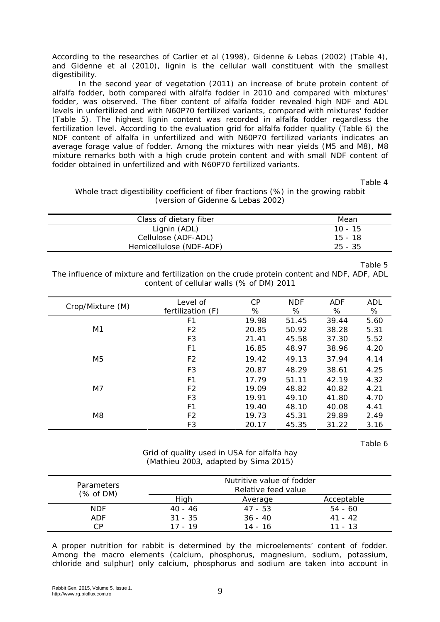According to the researches of Carlier et al (1998), Gidenne & Lebas (2002) (Table 4), and Gidenne et al (2010), lignin is the cellular wall constituent with the smallest digestibility.

In the second year of vegetation (2011) an increase of brute protein content of alfalfa fodder, both compared with alfalfa fodder in 2010 and compared with mixtures' fodder, was observed. The fiber content of alfalfa fodder revealed high NDF and ADL levels in unfertilized and with N60P70 fertilized variants, compared with mixtures' fodder (Table 5). The highest lignin content was recorded in alfalfa fodder regardless the fertilization level. According to the evaluation grid for alfalfa fodder quality (Table 6) the NDF content of alfalfa in unfertilized and with N60P70 fertilized variants indicates an average forage value of fodder. Among the mixtures with near yields (M5 and M8), M8 mixture remarks both with a high crude protein content and with small NDF content of fodder obtained in unfertilized and with N60P70 fertilized variants.

Table 4

Whole tract digestibility coefficient of fiber fractions (%) in the growing rabbit (version of Gidenne & Lebas 2002)

| Class of dietary fiber  | Mean      |
|-------------------------|-----------|
| Lignin (ADL)            | $10 - 15$ |
| Cellulose (ADF-ADL)     | 15 - 18   |
| Hemicellulose (NDF-ADF) | $25 - 35$ |

Table 5

The influence of mixture and fertilization on the crude protein content and NDF, ADF, ADL content of cellular walls (% of DM) 2011

| Crop/Mixture (M) | <i>Level of</i>     | $\mathcal{C}P$ | <b>NDF</b> | <b>ADF</b> | ADL  |
|------------------|---------------------|----------------|------------|------------|------|
|                  | fertilization $(F)$ | %              | %          | %          | %    |
|                  | F <sub>1</sub>      | 19.98          | 51.45      | 39.44      | 5.60 |
| M <sub>1</sub>   | F <sub>2</sub>      | 20.85          | 50.92      | 38.28      | 5.31 |
|                  | F3                  | 21.41          | 45.58      | 37.30      | 5.52 |
|                  | F <sub>1</sub>      | 16.85          | 48.97      | 38.96      | 4.20 |
| M <sub>5</sub>   | F <sub>2</sub>      | 19.42          | 49.13      | 37.94      | 4.14 |
|                  | F <sub>3</sub>      | 20.87          | 48.29      | 38.61      | 4.25 |
|                  | F <sub>1</sub>      | 17.79          | 51.11      | 42.19      | 4.32 |
| M7               | F <sub>2</sub>      | 19.09          | 48.82      | 40.82      | 4.21 |
|                  | F <sub>3</sub>      | 19.91          | 49.10      | 41.80      | 4.70 |
|                  | F <sub>1</sub>      | 19.40          | 48.10      | 40.08      | 4.41 |
| M8               | F <sub>2</sub>      | 19.73          | 45.31      | 29.89      | 2.49 |
|                  | F <sub>3</sub>      | 20.17          | 45.35      | 31.22      | 3.16 |

Table 6

Grid of quality used in USA for alfalfa hay (Mathieu 2003, adapted by Sima 2015)

| <b>Parameters</b><br>(% of DM) |           | Nutritive value of fodder<br>Relative feed value |            |
|--------------------------------|-----------|--------------------------------------------------|------------|
|                                | High      | Average                                          | Acceptable |
| <b>NDF</b>                     | $40 - 46$ | $47 - 53$                                        | $54 - 60$  |
| ADF                            | $31 - 35$ | $36 - 40$                                        | $41 - 42$  |
| CΡ                             | 17 - 19   | 14 - 16                                          | $11 - 13$  |

A proper nutrition for rabbit is determined by the microelements' content of fodder. Among the macro elements (calcium, phosphorus, magnesium, sodium, potassium, chloride and sulphur) only calcium, phosphorus and sodium are taken into account in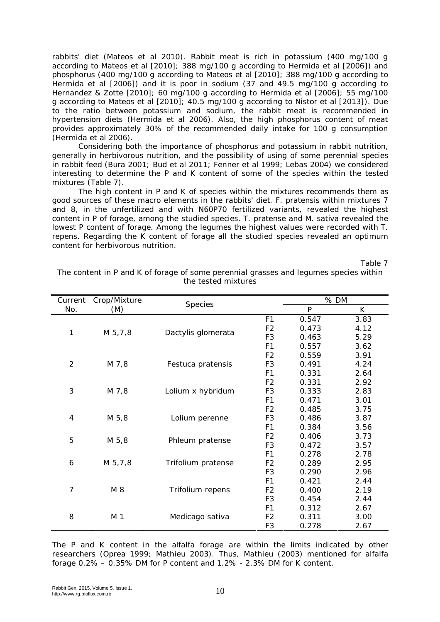rabbits' diet (Mateos et al 2010). Rabbit meat is rich in potassium (400 mg/100 g according to Mateos et al [2010]; 388 mg/100 g according to Hermida et al [2006]) and phosphorus (400 mg/100 g according to Mateos et al [2010]; 388 mg/100 g according to Hermida et al [2006]) and it is poor in sodium (37 and 49.5 mg/100 g according to Hernandez & Zotte [2010]; 60 mg/100 g according to Hermida et al [2006]; 55 mg/100 g according to Mateos et al [2010]; 40.5 mg/100 g according to Nistor et al [2013]). Due to the ratio between potassium and sodium, the rabbit meat is recommended in hypertension diets (Hermida et al 2006). Also, the high phosphorus content of meat provides approximately 30% of the recommended daily intake for 100 g consumption (Hermida et al 2006).

Considering both the importance of phosphorus and potassium in rabbit nutrition, generally in herbivorous nutrition, and the possibility of using of some perennial species in rabbit feed (Bura 2001; Bud et al 2011; Fenner et al 1999; Lebas 2004) we considered interesting to determine the P and K content of some of the species within the tested mixtures (Table 7).

The high content in P and K of species within the mixtures recommends them as good sources of these macro elements in the rabbits' diet. *F. pratensis* within mixtures 7 and 8, in the unfertilized and with N60P70 fertilized variants, revealed the highest content in P of forage, among the studied species. *T. pratense* and *M. sativa* revealed the lowest P content of forage. Among the legumes the highest values were recorded with *T. repens.* Regarding the K content of forage all the studied species revealed an optimum content for herbivorous nutrition.

Table 7

| Current        | Crop/Mixture |                    |                |                | $%$ DM |
|----------------|--------------|--------------------|----------------|----------------|--------|
| No.            | (M)          | <b>Species</b>     |                | $\overline{P}$ | K      |
|                |              |                    | F <sub>1</sub> | 0.547          | 3.83   |
| 1              | M 5,7,8      |                    | F <sub>2</sub> | 0.473          | 4.12   |
|                |              | Dactylis glomerata | F <sub>3</sub> | 0.463          | 5.29   |
|                |              |                    | F <sub>1</sub> | 0.557          | 3.62   |
|                |              |                    | F <sub>2</sub> | 0.559          | 3.91   |
| $\overline{2}$ | M 7,8        | Festuca pratensis  | F <sub>3</sub> | 0.491          | 4.24   |
|                |              |                    | F <sub>1</sub> | 0.331          | 2.64   |
|                |              |                    | F <sub>2</sub> | 0.331          | 2.92   |
| 3              | M 7,8        | Lolium x hybridum  | F <sub>3</sub> | 0.333          | 2.83   |
|                |              |                    | F <sub>1</sub> | 0.471          | 3.01   |
|                |              |                    | F <sub>2</sub> | 0.485          | 3.75   |
| 4              | M 5,8        | Lolium perenne     | F <sub>3</sub> | 0.486          | 3.87   |
|                |              |                    | F <sub>1</sub> | 0.384          | 3.56   |
| 5              | M 5,8        | Phleum pratense    | F <sub>2</sub> | 0.406          | 3.73   |
|                |              |                    | F <sub>3</sub> | 0.472          | 3.57   |
|                |              |                    | F <sub>1</sub> | 0.278          | 2.78   |
| 6              | M 5,7,8      | Trifolium pratense | F <sub>2</sub> | 0.289          | 2.95   |
|                |              |                    | F <sub>3</sub> | 0.290          | 2.96   |
|                |              |                    | F <sub>1</sub> | 0.421          | 2.44   |
| $\overline{7}$ | M 8          | Trifolium repens   | F <sub>2</sub> | 0.400          | 2.19   |
|                |              |                    | F <sub>3</sub> | 0.454          | 2.44   |
|                |              |                    | F <sub>1</sub> | 0.312          | 2.67   |
| 8              | M 1          | Medicago sativa    | F <sub>2</sub> | 0.311          | 3.00   |
|                |              |                    | F <sub>3</sub> | 0.278          | 2.67   |

The content in P and K of forage of some perennial grasses and legumes species within the tested mixtures

The P and K content in the alfalfa forage are within the limits indicated by other researchers (Oprea 1999; Mathieu 2003). Thus, Mathieu (2003) mentioned for alfalfa forage 0.2% – 0.35% DM for P content and 1.2% - 2.3% DM for K content.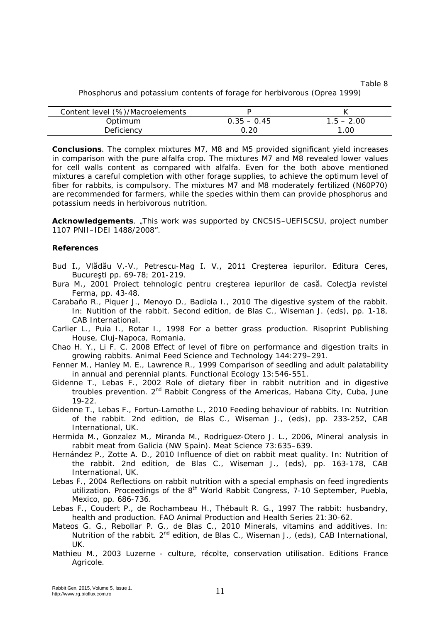Table 8 Phosphorus and potassium contents of forage for herbivorous (Oprea 1999)

| Content level (%)/Macroelements |                 |              |
|---------------------------------|-----------------|--------------|
| Optimum                         | $0.35 - 0.45$   | $1.5 - 2.00$ |
| Deficiency                      | .2 <sup>c</sup> | 1.00         |

**Conclusions**. The complex mixtures M7, M8 and M5 provided significant yield increases in comparison with the pure alfalfa crop. The mixtures M7 and M8 revealed lower values for cell walls content as compared with alfalfa. Even for the both above mentioned mixtures a careful completion with other forage supplies, to achieve the optimum level of fiber for rabbits, is compulsory. The mixtures M7 and M8 moderately fertilized (N60P70) are recommended for farmers, while the species within them can provide phosphorus and potassium needs in herbivorous nutrition.

**Acknowledgements**. "This work was supported by CNCSIS–UEFISCSU, project number 1107 PNII–IDEI 1488/2008".

## **References**

- Bud I., Vlădău V.-V., Petrescu-Mag I. V., 2011 Creşterea iepurilor. Editura Ceres, Bucureşti pp. 69-78; 201-219.
- Bura M., 2001 Proiect tehnologic pentru cresterea iepurilor de casă. Colectia revistei Ferma, pp. 43-48.
- Carabaño R., Piquer J., Menoyo D., Badiola I., 2010 The digestive system of the rabbit. In: Nutition of the rabbit. Second edition, de Blas C., Wiseman J. (eds), pp. 1-18, CAB International.
- Carlier L., Puia I., Rotar I., 1998 For a better grass production. Risoprint Publishing House, Cluj-Napoca, Romania.
- Chao H. Y., Li F. C. 2008 Effect of level of fibre on performance and digestion traits in growing rabbits. Animal Feed Science and Technology 144:279–291.
- Fenner M., Hanley M. E., Lawrence R., 1999 Comparison of seedling and adult palatability in annual and perennial plants. Functional Ecology 13:546-551.
- Gidenne T., Lebas F., 2002 Role of dietary fiber in rabbit nutrition and in digestive troubles prevention. 2<sup>nd</sup> Rabbit Congress of the Americas, Habana City, Cuba, June 19-22.
- Gidenne T., Lebas F., Fortun-Lamothe L., 2010 Feeding behaviour of rabbits. In: Nutrition of the rabbit. 2nd edition, de Blas C., Wiseman J., (eds), pp. 233-252, CAB International, UK.
- Hermida M., Gonzalez M., Miranda M., Rodriguez-Otero J. L., 2006, Mineral analysis in rabbit meat from Galicia (NW Spain). Meat Science 73:635–639.
- Hernández P., Zotte A. D., 2010 Influence of diet on rabbit meat quality. In: Nutrition of the rabbit. 2nd edition, de Blas C., Wiseman J., (eds), pp. 163-178, CAB International, UK.
- Lebas F., 2004 Reflections on rabbit nutrition with a special emphasis on feed ingredients utilization. Proceedings of the 8<sup>th</sup> World Rabbit Congress, 7-10 September, Puebla, Mexico, pp. 686-736.
- Lebas F., Coudert P., de Rochambeau H., Thébault R. G., 1997 The rabbit: husbandry, health and production. FAO Animal Production and Health Series 21:30-62.
- Mateos G. G., Rebollar P. G., de Blas C., 2010 Minerals, vitamins and additives. In: Nutrition of the rabbit. 2<sup>nd</sup> edition, de Blas C., Wiseman J., (eds), CAB International, UK.
- Mathieu M., 2003 Luzerne culture, récolte, conservation utilisation. Editions France Agricole.